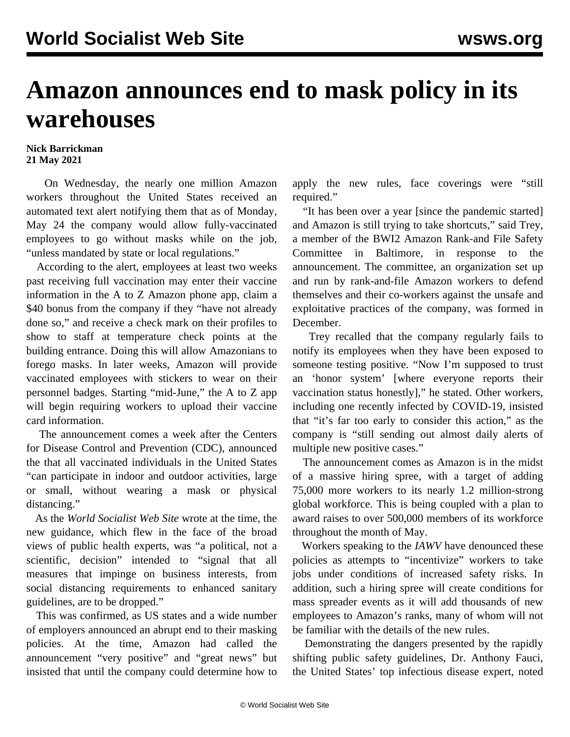## **Amazon announces end to mask policy in its warehouses**

## **Nick Barrickman 21 May 2021**

 On Wednesday, the nearly one million Amazon workers throughout the United States received an automated text alert notifying them that as of Monday, May 24 the company would allow fully-vaccinated employees to go without masks while on the job, "unless mandated by state or local regulations."

 According to the alert, employees at least two weeks past receiving full vaccination may enter their vaccine information in the A to Z Amazon phone app, claim a \$40 bonus from the company if they "have not already done so," and receive a check mark on their profiles to show to staff at temperature check points at the building entrance. Doing this will allow Amazonians to forego masks. In later weeks, Amazon will provide vaccinated employees with stickers to wear on their personnel badges. Starting "mid-June," the A to Z app will begin requiring workers to upload their vaccine card information.

 The announcement comes a week after the Centers for Disease Control and Prevention (CDC), [announced](/en/articles/2021/05/15/pers-m15.html) the that all vaccinated individuals in the United States "can participate in indoor and outdoor activities, large or small, without wearing a mask or physical distancing."

 As the *World Socialist Web Site* wrote at the time, the new guidance, which flew in the face of the broad views of public health experts, was "a political, not a scientific, decision" intended to "signal that all measures that impinge on business interests, from social distancing requirements to enhanced sanitary guidelines, are to be dropped."

 This was confirmed, as [US states and](/en/articles/2021/05/20/mask-m20.html) a wide number of employers announced an abrupt end to their masking policies. At the time, Amazon had called the announcement "very positive" and "great news" but insisted that until the company could determine how to

apply the new rules, face coverings were "still required."

 "It has been over a year [since the pandemic started] and Amazon is still trying to take shortcuts," said Trey, a member of the [BWI2 Amazon Rank-and File Safety](/en/articles/2020/12/14/bwi2-d14.html) [Committee](/en/articles/2020/12/14/bwi2-d14.html) in Baltimore, in response to the announcement. The committee, an organization set up and run by rank-and-file Amazon workers to defend themselves and their co-workers against the unsafe and exploitative practices of the company, was formed in December.

 Trey recalled that the company regularly fails to notify its employees when they have been exposed to someone testing positive. "Now I'm supposed to trust an 'honor system' [where everyone reports their vaccination status honestly]," he stated. Other workers, including one recently infected by COVID-19, insisted that "it's far too early to consider this action," as the company is "still sending out almost daily alerts of multiple new positive cases."

 The announcement comes as Amazon is in the midst of a massive hiring spree, with a target of adding 75,000 more workers to its nearly 1.2 million-strong global workforce. This is being coupled with a plan to award raises to over 500,000 members of its workforce throughout the month of May.

 Workers speaking to the *IAWV* have denounced these policies as attempts to "incentivize" workers to take jobs under conditions of increased safety risks. In addition, such a hiring spree will create conditions for mass spreader events as it will add thousands of new employees to Amazon's ranks, many of whom will not be familiar with the details of the new rules.

 Demonstrating the dangers presented by the rapidly shifting public safety guidelines, Dr. Anthony Fauci, the United States' top infectious disease expert, noted